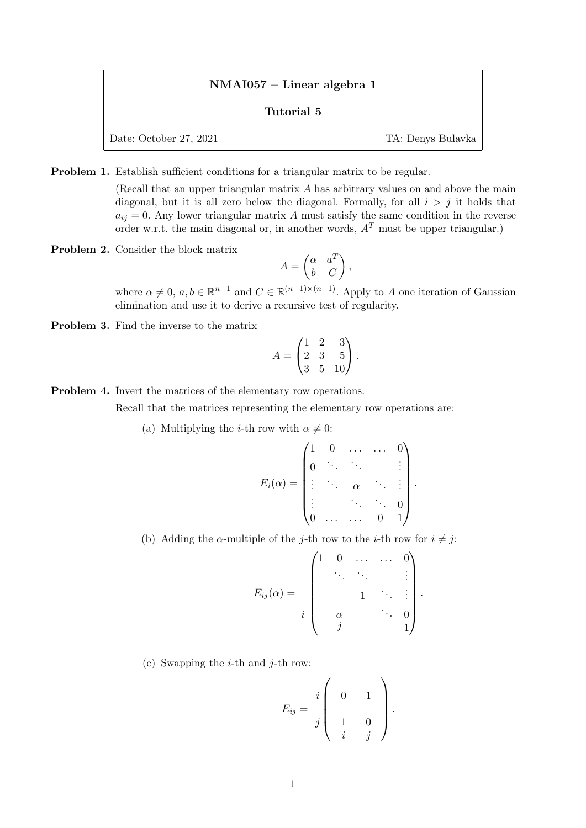## NMAI057 – Linear algebra 1

## Tutorial 5

Date: October 27, 2021 TA: Denys Bulavka

Problem 1. Establish sufficient conditions for a triangular matrix to be regular.

(Recall that an upper triangular matrix A has arbitrary values on and above the main diagonal, but it is all zero below the diagonal. Formally, for all  $i > j$  it holds that  $a_{ij} = 0$ . Any lower triangular matrix A must satisfy the same condition in the reverse order w.r.t. the main diagonal or, in another words,  $A<sup>T</sup>$  must be upper triangular.)

Problem 2. Consider the block matrix

$$
A = \begin{pmatrix} \alpha & a^T \\ b & C \end{pmatrix},
$$

where  $\alpha \neq 0$ ,  $a, b \in \mathbb{R}^{n-1}$  and  $C \in \mathbb{R}^{(n-1)\times (n-1)}$ . Apply to A one iteration of Gaussian elimination and use it to derive a recursive test of regularity.

Problem 3. Find the inverse to the matrix

$$
A = \begin{pmatrix} 1 & 2 & 3 \\ 2 & 3 & 5 \\ 3 & 5 & 10 \end{pmatrix}.
$$

Problem 4. Invert the matrices of the elementary row operations.

Recall that the matrices representing the elementary row operations are:

(a) Multiplying the *i*-th row with  $\alpha \neq 0$ :

$$
E_i(\alpha) = \begin{pmatrix} 1 & 0 & \dots & \dots & 0 \\ 0 & \ddots & \ddots & & \vdots \\ \vdots & \ddots & \alpha & \ddots & \vdots \\ \vdots & & \ddots & \ddots & 0 \\ 0 & \dots & \dots & 0 & 1 \end{pmatrix}.
$$

(b) Adding the  $\alpha$ -multiple of the j-th row to the *i*-th row for  $i \neq j$ :

$$
E_{ij}(\alpha) = \begin{pmatrix} 1 & 0 & \dots & \dots & 0 \\ & \ddots & \ddots & & \vdots \\ & & 1 & \ddots & \vdots \\ & \alpha & & & \ddots & 0 \\ & j & & & & 1 \end{pmatrix}.
$$

(c) Swapping the *i*-th and *j*-th row:

$$
E_{ij} = \begin{pmatrix} 0 & 1 \\ 1 & 0 \\ i & j \end{pmatrix}.
$$